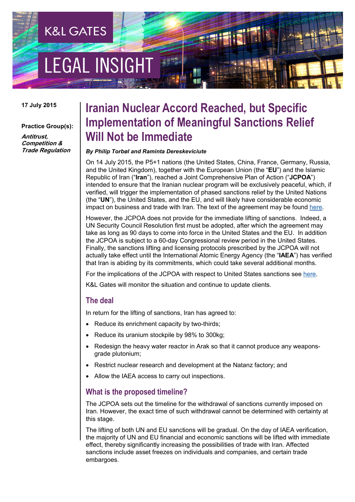# **EGAL INSIGH**

**K&L GATES** 

#### **17 July 2015**

#### **Practice Group(s):**

**Antitrust, Competition & Trade Regulation**

## **Iranian Nuclear Accord Reached, but Specific Implementation of Meaningful Sanctions Relief Will Not be Immediate**

#### *By Philip Torbøl and Raminta Dereskeviciute*

On 14 July 2015, the P5+1 nations (the United States, China, France, Germany, Russia, and the United Kingdom), together with the European Union (the "**EU**") and the Islamic Republic of Iran ("**Iran**"), reached a Joint Comprehensive Plan of Action ("**JCPOA**") intended to ensure that the Iranian nuclear program will be exclusively peaceful, which, if verified, will trigger the implementation of phased sanctions relief by the United Nations (the "**UN**"), the United States, and the EU, and will likely have considerable economic impact on business and trade with Iran. The text of the agreement may be found [here.](http://eeas.europa.eu/statements-eeas/docs/iran_agreement/iran_joint-comprehensive-plan-of-action_en.pdf)

However, the JCPOA does not provide for the immediate lifting of sanctions. Indeed, a UN Security Council Resolution first must be adopted, after which the agreement may take as long as 90 days to come into force in the United States and the EU. In addition the JCPOA is subject to a 60-day Congressional review period in the United States. Finally, the sanctions lifting and licensing protocols prescribed by the JCPOA will not actually take effect until the International Atomic Energy Agency (the "**IAEA**") has verified that Iran is abiding by its commitments, which could take several additional months.

For the implications of the JCPOA with respect to United States sanctions see [here.](http://www.klgateshub.com/details/?pub=Iranian-Nuclear-Accord-Reached-But-Specific-Implementation-of-Meaningful-Sanctions-Relief-Will-Not-Be-Immediate-07-16-2015)

K&L Gates will monitor the situation and continue to update clients.

#### **The deal**

In return for the lifting of sanctions, Iran has agreed to:

- Reduce its enrichment capacity by two-thirds;
- Reduce its uranium stockpile by 98% to 300kg;
- Redesign the heavy water reactor in Arak so that it cannot produce any weaponsgrade plutonium;
- Restrict nuclear research and development at the Natanz factory; and
- Allow the IAEA access to carry out inspections.

#### **What is the proposed timeline?**

The JCPOA sets out the timeline for the withdrawal of sanctions currently imposed on Iran. However, the exact time of such withdrawal cannot be determined with certainty at this stage.

The lifting of both UN and EU sanctions will be gradual. On the day of IAEA verification, the majority of UN and EU financial and economic sanctions will be lifted with immediate effect, thereby significantly increasing the possibilities of trade with Iran. Affected sanctions include asset freezes on individuals and companies, and certain trade embargoes.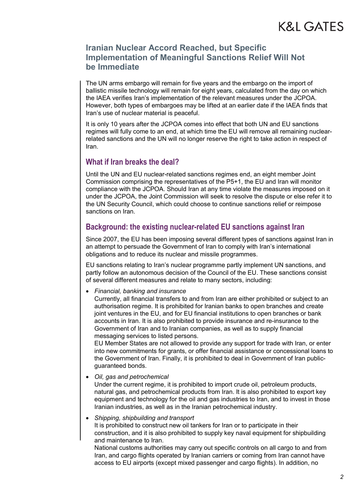#### **Iranian Nuclear Accord Reached, but Specific Implementation of Meaningful Sanctions Relief Will Not be Immediate**

The UN arms embargo will remain for five years and the embargo on the import of ballistic missile technology will remain for eight years, calculated from the day on which the IAEA verifies Iran's implementation of the relevant measures under the JCPOA. However, both types of embargoes may be lifted at an earlier date if the IAEA finds that Iran's use of nuclear material is peaceful.

It is only 10 years after the JCPOA comes into effect that both UN and EU sanctions regimes will fully come to an end, at which time the EU will remove all remaining nuclearrelated sanctions and the UN will no longer reserve the right to take action in respect of Iran.

#### **What if Iran breaks the deal?**

Until the UN and EU nuclear-related sanctions regimes end, an eight member Joint Commission comprising the representatives of the P5+1, the EU and Iran will monitor compliance with the JCPOA. Should Iran at any time violate the measures imposed on it under the JCPOA, the Joint Commission will seek to resolve the dispute or else refer it to the UN Security Council, which could choose to continue sanctions relief or reimpose sanctions on Iran.

#### **Background: the existing nuclear-related EU sanctions against Iran**

Since 2007, the EU has been imposing several different types of sanctions against Iran in an attempt to persuade the Government of Iran to comply with Iran's international obligations and to reduce its nuclear and missile programmes.

EU sanctions relating to Iran's nuclear programme partly implement UN sanctions, and partly follow an autonomous decision of the Council of the EU. These sanctions consist of several different measures and relate to many sectors, including:

• *Financial, banking and insurance*

Currently, all financial transfers to and from Iran are either prohibited or subject to an authorisation regime. It is prohibited for Iranian banks to open branches and create joint ventures in the EU, and for EU financial institutions to open branches or bank accounts in Iran. It is also prohibited to provide insurance and re-insurance to the Government of Iran and to Iranian companies, as well as to supply financial messaging services to listed persons.

EU Member States are not allowed to provide any support for trade with Iran, or enter into new commitments for grants, or offer financial assistance or concessional loans to the Government of Iran. Finally, it is prohibited to deal in Government of Iran publicguaranteed bonds.

• *Oil, gas and petrochemical*

Under the current regime, it is prohibited to import crude oil, petroleum products, natural gas, and petrochemical products from Iran. It is also prohibited to export key equipment and technology for the oil and gas industries to Iran, and to invest in those Iranian industries, as well as in the Iranian petrochemical industry.

• *Shipping, shipbuilding and transport*  It is prohibited to construct new oil tankers for Iran or to participate in their construction, and it is also prohibited to supply key naval equipment for shipbuilding and maintenance to Iran.

National customs authorities may carry out specific controls on all cargo to and from Iran, and cargo flights operated by Iranian carriers or coming from Iran cannot have access to EU airports (except mixed passenger and cargo flights). In addition, no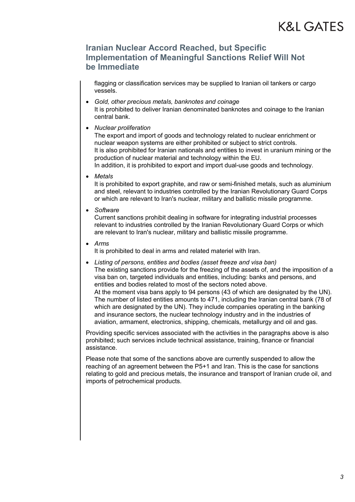#### **Iranian Nuclear Accord Reached, but Specific Implementation of Meaningful Sanctions Relief Will Not be Immediate**

flagging or classification services may be supplied to Iranian oil tankers or cargo vessels.

- *Gold, other precious metals, banknotes and coinage* It is prohibited to deliver Iranian denominated banknotes and coinage to the Iranian central bank.
- *Nuclear proliferation*

The export and import of goods and technology related to nuclear enrichment or nuclear weapon systems are either prohibited or subject to strict controls. It is also prohibited for Iranian nationals and entities to invest in uranium mining or the production of nuclear material and technology within the EU.

In addition, it is prohibited to export and import dual-use goods and technology.

• *Metals*

It is prohibited to export graphite, and raw or semi-finished metals, such as aluminium and steel, relevant to industries controlled by the Iranian Revolutionary Guard Corps or which are relevant to Iran's nuclear, military and ballistic missile programme.

• *Software*

Current sanctions prohibit dealing in software for integrating industrial processes relevant to industries controlled by the Iranian Revolutionary Guard Corps or which are relevant to Iran's nuclear, military and ballistic missile programme.

• *Arms*

It is prohibited to deal in arms and related materiel with Iran.

• *Listing of persons, entities and bodies (asset freeze and visa ban)* The existing sanctions provide for the freezing of the assets of, and the imposition of a visa ban on, targeted individuals and entities, including: banks and persons, and entities and bodies related to most of the sectors noted above. At the moment visa bans apply to 94 persons (43 of which are designated by the UN). The number of listed entities amounts to 471, including the Iranian central bank (78 of which are designated by the UN). They include companies operating in the banking and insurance sectors, the nuclear technology industry and in the industries of

Providing specific services associated with the activities in the paragraphs above is also prohibited; such services include technical assistance, training, finance or financial assistance.

aviation, armament, electronics, shipping, chemicals, metallurgy and oil and gas.

Please note that some of the sanctions above are currently suspended to allow the reaching of an agreement between the P5+1 and Iran. This is the case for sanctions relating to gold and precious metals, the insurance and transport of Iranian crude oil, and imports of petrochemical products.